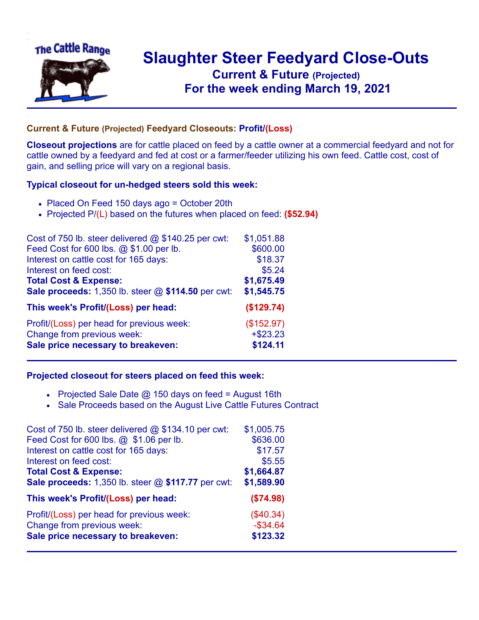

## **Slaughter Steer Feedyard Close-Outs Current & Future (Projected)** .**For the week ending March 19, 2021**

## **Current & Future (Projected) Feedyard Closeouts: Profit/(Loss)**

**Closeout projections** are for cattle placed on feed by a cattle owner at a commercial feedyard and not for cattle owned by a feedyard and fed at cost or a farmer/feeder utilizing his own feed. Cattle cost, cost of gain, and selling price will vary on a regional basis.

## **Typical closeout for un-hedged steers sold this week:**

- Placed On Feed 150 days ago = October 20th
- Projected P/(L) based on the futures when placed on feed: **(\$52.94)**

| Cost of 750 lb. steer delivered $@$ \$140.25 per cwt: | \$1,051.88  |
|-------------------------------------------------------|-------------|
| Feed Cost for 600 lbs. @ \$1.00 per lb.               | \$600.00    |
| Interest on cattle cost for 165 days:                 | \$18.37     |
| Interest on feed cost:                                | \$5.24      |
| <b>Total Cost &amp; Expense:</b>                      | \$1,675.49  |
| Sale proceeds: 1,350 lb. steer @ \$114.50 per cwt:    | \$1,545.75  |
| This week's Profit/(Loss) per head:                   | (\$129.74)  |
| Profit/(Loss) per head for previous week:             | (\$152.97)  |
| Change from previous week:                            | $+$ \$23.23 |
| Sale price necessary to breakeven:                    | \$124.11    |

## **Projected closeout for steers placed on feed this week:**

- Projected Sale Date  $@$  150 days on feed = August 16th
- Sale Proceeds based on the August Live Cattle Futures Contract

| Cost of 750 lb. steer delivered $@$ \$134.10 per cwt: | \$1,005.75  |
|-------------------------------------------------------|-------------|
| Feed Cost for 600 lbs. @ \$1.06 per lb.               | \$636.00    |
| Interest on cattle cost for 165 days:                 | \$17.57     |
| Interest on feed cost:                                | \$5.55      |
| <b>Total Cost &amp; Expense:</b>                      | \$1,664.87  |
| Sale proceeds: 1,350 lb. steer @ \$117.77 per cwt:    | \$1,589.90  |
| This week's Profit/(Loss) per head:                   | (\$74.98)   |
| Profit/(Loss) per head for previous week:             | (\$40.34)   |
| Change from previous week:                            | $-$ \$34.64 |
| Sale price necessary to breakeven:                    | \$123.32    |